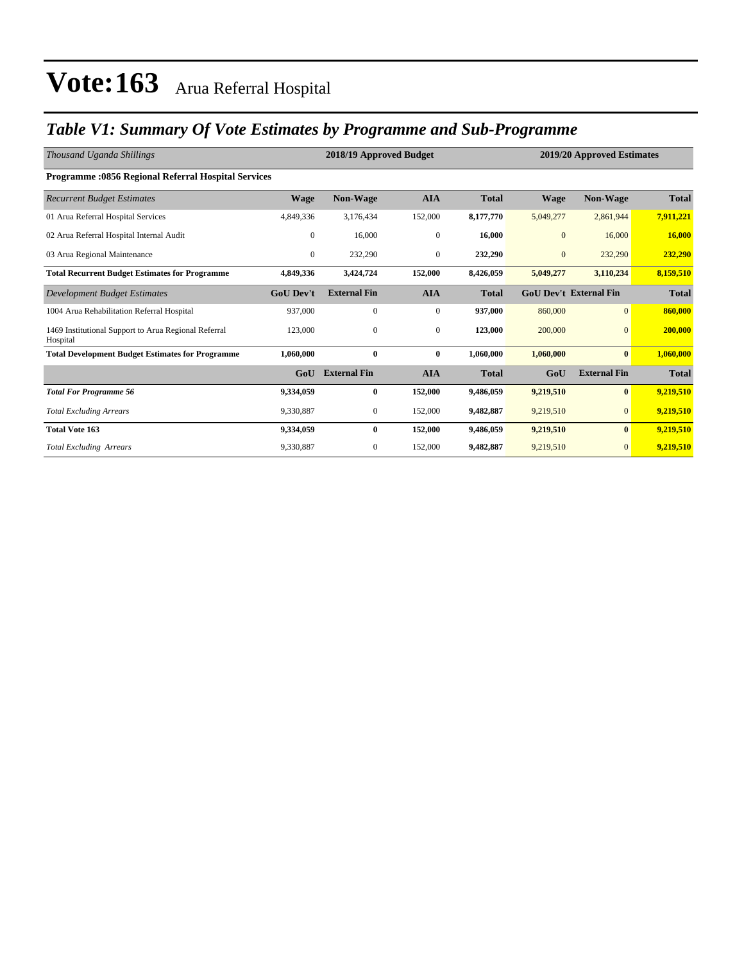### *Table V1: Summary Of Vote Estimates by Programme and Sub-Programme*

| Thousand Uganda Shillings                                        |                  | 2018/19 Approved Budget<br>2019/20 Approved Estimates |                  |              |              |                               |              |
|------------------------------------------------------------------|------------------|-------------------------------------------------------|------------------|--------------|--------------|-------------------------------|--------------|
| <b>Programme: 0856 Regional Referral Hospital Services</b>       |                  |                                                       |                  |              |              |                               |              |
| <b>Recurrent Budget Estimates</b>                                | <b>Wage</b>      | Non-Wage                                              | <b>AIA</b>       | <b>Total</b> | <b>Wage</b>  | Non-Wage                      | <b>Total</b> |
| 01 Arua Referral Hospital Services                               | 4,849,336        | 3,176,434                                             | 152,000          | 8,177,770    | 5,049,277    | 2,861,944                     | 7,911,221    |
| 02 Arua Referral Hospital Internal Audit                         | $\overline{0}$   | 16,000                                                | $\mathbf{0}$     | 16,000       | $\mathbf{0}$ | 16,000                        | 16,000       |
| 03 Arua Regional Maintenance                                     | $\theta$         | 232,290                                               | $\boldsymbol{0}$ | 232,290      | $\mathbf{0}$ | 232,290                       | 232,290      |
| <b>Total Recurrent Budget Estimates for Programme</b>            | 4,849,336        | 3,424,724                                             | 152,000          | 8,426,059    | 5,049,277    | 3,110,234                     | 8,159,510    |
| Development Budget Estimates                                     | <b>GoU Dev't</b> | <b>External Fin</b>                                   | <b>AIA</b>       | <b>Total</b> |              | <b>GoU Dev't External Fin</b> | <b>Total</b> |
| 1004 Arua Rehabilitation Referral Hospital                       | 937,000          | $\mathbf{0}$                                          | $\overline{0}$   | 937,000      | 860,000      | $\mathbf{0}$                  | 860,000      |
| 1469 Institutional Support to Arua Regional Referral<br>Hospital | 123,000          | $\mathbf{0}$                                          | $\boldsymbol{0}$ | 123,000      | 200,000      | $\mathbf{0}$                  | 200,000      |
| <b>Total Development Budget Estimates for Programme</b>          | 1,060,000        | $\mathbf{0}$                                          | $\bf{0}$         | 1,060,000    | 1,060,000    | $\bf{0}$                      | 1,060,000    |
|                                                                  | GoU              | <b>External Fin</b>                                   | <b>AIA</b>       | <b>Total</b> | GoU          | <b>External Fin</b>           | <b>Total</b> |
| <b>Total For Programme 56</b>                                    | 9,334,059        | $\bf{0}$                                              | 152,000          | 9,486,059    | 9,219,510    | $\bf{0}$                      | 9,219,510    |
| <b>Total Excluding Arrears</b>                                   | 9,330,887        | $\mathbf{0}$                                          | 152,000          | 9,482,887    | 9,219,510    | $\mathbf{0}$                  | 9,219,510    |
| <b>Total Vote 163</b>                                            | 9,334,059        | $\bf{0}$                                              | 152,000          | 9,486,059    | 9,219,510    | $\bf{0}$                      | 9,219,510    |
| <b>Total Excluding Arrears</b>                                   | 9,330,887        | $\mathbf{0}$                                          | 152,000          | 9,482,887    | 9,219,510    | $\overline{0}$                | 9,219,510    |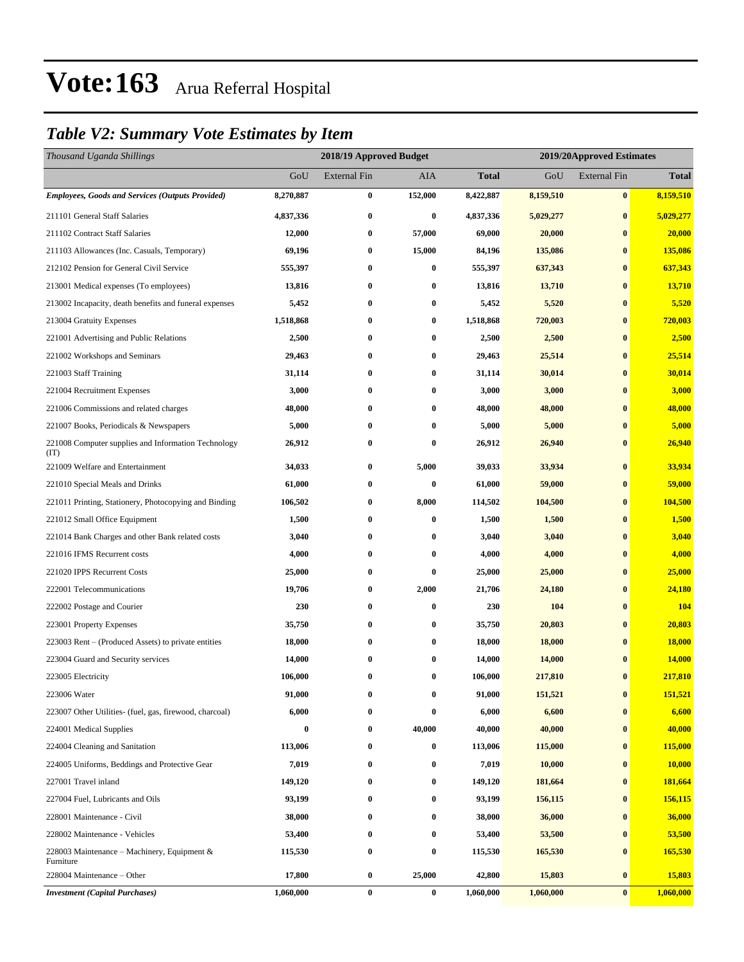### *Table V2: Summary Vote Estimates by Item*

| Thousand Uganda Shillings                                   |           |                     | 2018/19 Approved Budget<br>2019/20Approved Estimates |              |           |                     |              |
|-------------------------------------------------------------|-----------|---------------------|------------------------------------------------------|--------------|-----------|---------------------|--------------|
|                                                             | GoU       | <b>External Fin</b> | AIA                                                  | <b>Total</b> | GoU       | <b>External Fin</b> | <b>Total</b> |
| <b>Employees, Goods and Services (Outputs Provided)</b>     | 8,270,887 | $\boldsymbol{0}$    | 152,000                                              | 8,422,887    | 8,159,510 | $\bf{0}$            | 8,159,510    |
| 211101 General Staff Salaries                               | 4,837,336 | $\bf{0}$            | $\bf{0}$                                             | 4,837,336    | 5,029,277 | $\bf{0}$            | 5,029,277    |
| 211102 Contract Staff Salaries                              | 12,000    | $\bf{0}$            | 57,000                                               | 69,000       | 20,000    | $\bf{0}$            | 20,000       |
| 211103 Allowances (Inc. Casuals, Temporary)                 | 69,196    | $\bf{0}$            | 15,000                                               | 84,196       | 135,086   | $\bf{0}$            | 135,086      |
| 212102 Pension for General Civil Service                    | 555,397   | $\bf{0}$            | $\bf{0}$                                             | 555,397      | 637,343   | $\bf{0}$            | 637,343      |
| 213001 Medical expenses (To employees)                      | 13,816    | $\bf{0}$            | $\bf{0}$                                             | 13,816       | 13,710    | $\bf{0}$            | 13,710       |
| 213002 Incapacity, death benefits and funeral expenses      | 5,452     | $\bf{0}$            | $\bf{0}$                                             | 5,452        | 5,520     | $\bf{0}$            | 5,520        |
| 213004 Gratuity Expenses                                    | 1,518,868 | 0                   | $\bf{0}$                                             | 1,518,868    | 720,003   | $\bf{0}$            | 720,003      |
| 221001 Advertising and Public Relations                     | 2,500     | $\bf{0}$            | $\bf{0}$                                             | 2,500        | 2,500     | $\bf{0}$            | 2,500        |
| 221002 Workshops and Seminars                               | 29,463    | $\bf{0}$            | $\bf{0}$                                             | 29,463       | 25,514    | $\bf{0}$            | 25,514       |
| 221003 Staff Training                                       | 31,114    | $\bf{0}$            | $\bf{0}$                                             | 31,114       | 30,014    | $\bf{0}$            | 30,014       |
| 221004 Recruitment Expenses                                 | 3,000     | $\bf{0}$            | $\bf{0}$                                             | 3,000        | 3,000     | $\bf{0}$            | 3,000        |
| 221006 Commissions and related charges                      | 48,000    | $\bf{0}$            | $\bf{0}$                                             | 48,000       | 48,000    | $\bf{0}$            | 48,000       |
| 221007 Books, Periodicals & Newspapers                      | 5,000     | $\bf{0}$            | $\bf{0}$                                             | 5,000        | 5,000     | $\bf{0}$            | 5,000        |
| 221008 Computer supplies and Information Technology<br>(TT) | 26,912    | $\bf{0}$            | $\bf{0}$                                             | 26,912       | 26,940    | $\bf{0}$            | 26,940       |
| 221009 Welfare and Entertainment                            | 34,033    | $\bf{0}$            | 5,000                                                | 39,033       | 33,934    | $\bf{0}$            | 33,934       |
| 221010 Special Meals and Drinks                             | 61,000    | $\bf{0}$            | $\bf{0}$                                             | 61,000       | 59,000    | $\bf{0}$            | 59,000       |
| 221011 Printing, Stationery, Photocopying and Binding       | 106,502   | $\bf{0}$            | 8,000                                                | 114,502      | 104,500   | $\bf{0}$            | 104,500      |
| 221012 Small Office Equipment                               | 1,500     | $\bf{0}$            | $\bf{0}$                                             | 1,500        | 1,500     | $\bf{0}$            | 1,500        |
| 221014 Bank Charges and other Bank related costs            | 3,040     | $\bf{0}$            | $\bf{0}$                                             | 3,040        | 3,040     | $\bf{0}$            | 3,040        |
| 221016 IFMS Recurrent costs                                 | 4,000     | $\bf{0}$            | $\bf{0}$                                             | 4,000        | 4,000     | $\bf{0}$            | 4,000        |
| 221020 IPPS Recurrent Costs                                 | 25,000    | $\bf{0}$            | $\bf{0}$                                             | 25,000       | 25,000    | $\bf{0}$            | 25,000       |
| 222001 Telecommunications                                   | 19,706    | $\bf{0}$            | 2,000                                                | 21,706       | 24,180    | $\bf{0}$            | 24,180       |
| 222002 Postage and Courier                                  | 230       | $\bf{0}$            | $\bf{0}$                                             | 230          | 104       | $\bf{0}$            | <b>104</b>   |
| 223001 Property Expenses                                    | 35,750    | $\bf{0}$            | $\bf{0}$                                             | 35,750       | 20,803    | $\bf{0}$            | 20,803       |
| 223003 Rent – (Produced Assets) to private entities         | 18,000    | $\bf{0}$            | $\bf{0}$                                             | 18,000       | 18,000    | $\bf{0}$            | 18,000       |
| 223004 Guard and Security services                          | 14,000    | $\boldsymbol{0}$    | $\bf{0}$                                             | 14,000       | 14,000    | $\bf{0}$            | 14,000       |
| 223005 Electricity                                          | 106,000   | $\bf{0}$            | $\bf{0}$                                             | 106,000      | 217,810   | $\bf{0}$            | 217,810      |
| 223006 Water                                                | 91,000    | 0                   | $\bf{0}$                                             | 91,000       | 151,521   | $\bf{0}$            | 151,521      |
| 223007 Other Utilities- (fuel, gas, firewood, charcoal)     | 6,000     | $\bf{0}$            | 0                                                    | 6,000        | 6,600     | $\bf{0}$            | 6,600        |
| 224001 Medical Supplies                                     | $\bf{0}$  | $\bf{0}$            | 40,000                                               | 40,000       | 40,000    | $\bf{0}$            | 40,000       |
| 224004 Cleaning and Sanitation                              | 113,006   | 0                   | $\bf{0}$                                             | 113,006      | 115,000   | $\bf{0}$            | 115,000      |
| 224005 Uniforms, Beddings and Protective Gear               | 7,019     | $\bf{0}$            | $\bf{0}$                                             | 7,019        | 10,000    | $\bf{0}$            | 10,000       |
| 227001 Travel inland                                        | 149,120   | $\bf{0}$            | $\bf{0}$                                             | 149,120      | 181,664   | $\bf{0}$            | 181,664      |
| 227004 Fuel, Lubricants and Oils                            | 93,199    | $\bf{0}$            | $\bf{0}$                                             | 93,199       | 156,115   | $\bf{0}$            | 156,115      |
| 228001 Maintenance - Civil                                  | 38,000    | $\bf{0}$            | $\bf{0}$                                             | 38,000       | 36,000    | $\bf{0}$            | 36,000       |
| 228002 Maintenance - Vehicles                               | 53,400    | $\bf{0}$            | $\bf{0}$                                             | 53,400       | 53,500    | $\bf{0}$            | 53,500       |
| 228003 Maintenance – Machinery, Equipment &<br>Furniture    | 115,530   | $\bf{0}$            | $\bf{0}$                                             | 115,530      | 165,530   | $\bf{0}$            | 165,530      |
| 228004 Maintenance – Other                                  | 17,800    | $\bf{0}$            | 25,000                                               | 42,800       | 15,803    | $\bf{0}$            | 15,803       |
| <b>Investment</b> (Capital Purchases)                       | 1,060,000 | $\pmb{0}$           | $\bf{0}$                                             | 1,060,000    | 1,060,000 | $\bf{0}$            | 1,060,000    |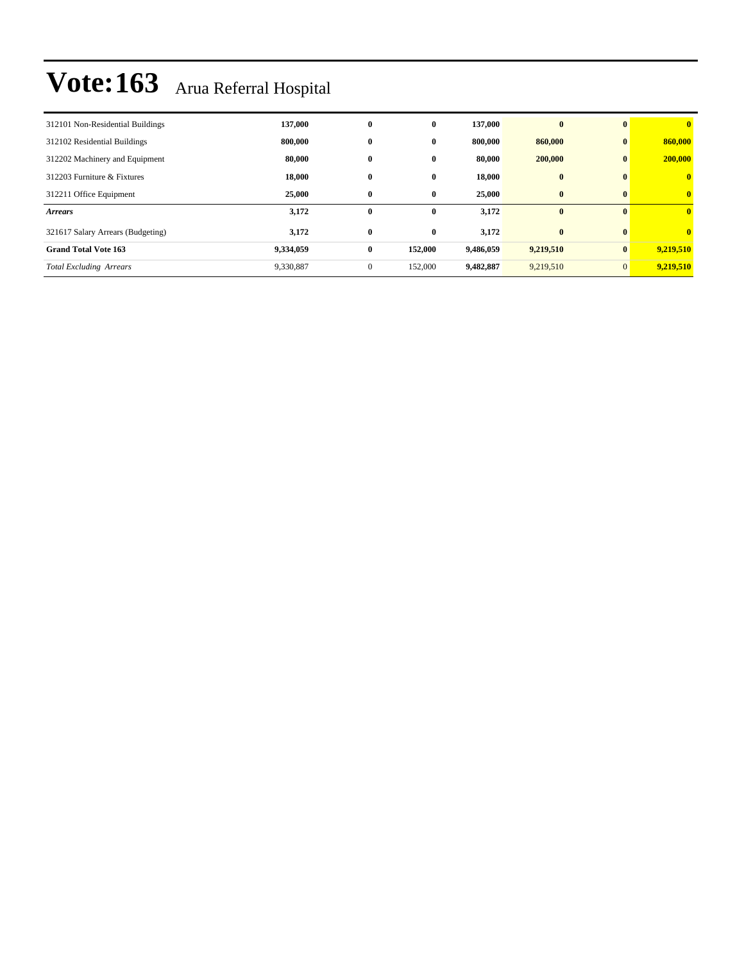| 312101 Non-Residential Buildings  | 137,000   | $\bf{0}$     | $\bf{0}$ | 137,000   | $\mathbf{0}$ | $\mathbf{0}$   | $\mathbf{0}$ |
|-----------------------------------|-----------|--------------|----------|-----------|--------------|----------------|--------------|
| 312102 Residential Buildings      | 800,000   | $\bf{0}$     | $\bf{0}$ | 800,000   | 860,000      | $\bf{0}$       | 860,000      |
| 312202 Machinery and Equipment    | 80,000    | $\bf{0}$     | $\bf{0}$ | 80,000    | 200,000      | $\bf{0}$       | 200,000      |
| 312203 Furniture & Fixtures       | 18,000    | $\bf{0}$     | $\bf{0}$ | 18,000    | $\bf{0}$     | $\bf{0}$       | $\mathbf{0}$ |
| 312211 Office Equipment           | 25,000    | $\bf{0}$     | $\bf{0}$ | 25,000    | $\bf{0}$     | $\bf{0}$       | $\mathbf{0}$ |
| <b>Arrears</b>                    | 3,172     | $\bf{0}$     | $\bf{0}$ | 3,172     | $\mathbf{0}$ | $\mathbf{0}$   | $\bf{0}$     |
| 321617 Salary Arrears (Budgeting) | 3,172     | $\bf{0}$     | $\bf{0}$ | 3,172     | $\bf{0}$     | $\mathbf{0}$   | $\mathbf{0}$ |
| <b>Grand Total Vote 163</b>       | 9,334,059 | $\bf{0}$     | 152,000  | 9,486,059 | 9,219,510    | $\bf{0}$       | 9,219,510    |
| <b>Total Excluding Arrears</b>    | 9,330,887 | $\mathbf{0}$ | 152,000  | 9,482,887 | 9,219,510    | $\overline{0}$ | 9,219,510    |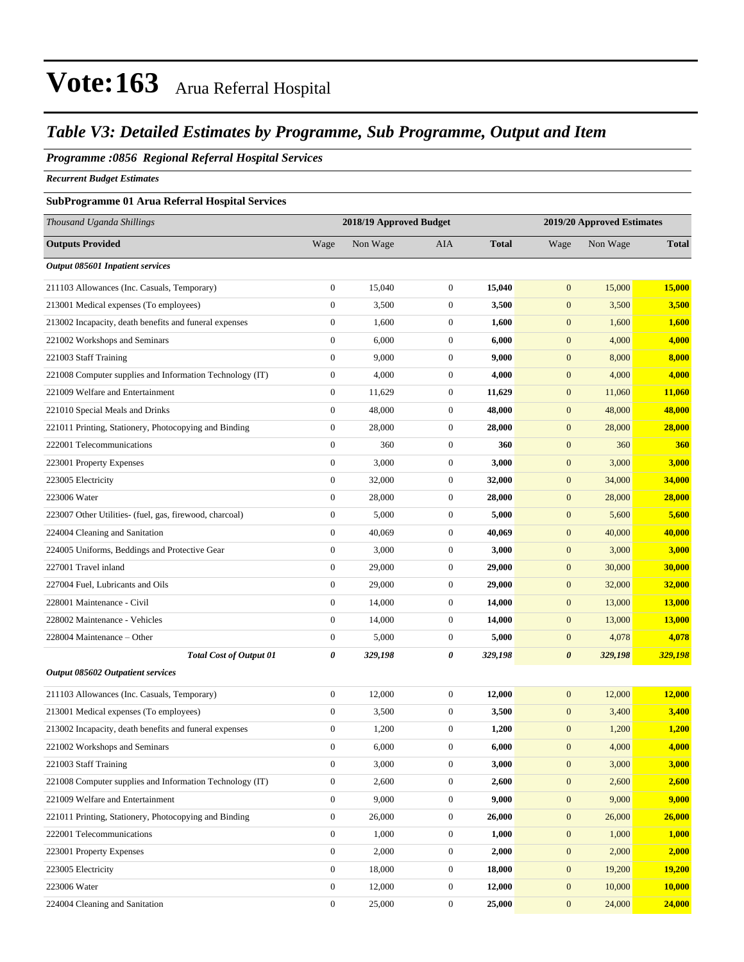### *Table V3: Detailed Estimates by Programme, Sub Programme, Output and Item*

#### *Programme :0856 Regional Referral Hospital Services*

*Recurrent Budget Estimates*

#### **SubProgramme 01 Arua Referral Hospital Services**

| Thousand Uganda Shillings                                |                  | 2018/19 Approved Budget |                  |              | 2019/20 Approved Estimates |          |              |
|----------------------------------------------------------|------------------|-------------------------|------------------|--------------|----------------------------|----------|--------------|
| <b>Outputs Provided</b>                                  | Wage             | Non Wage                | AIA              | <b>Total</b> | Wage                       | Non Wage | <b>Total</b> |
| Output 085601 Inpatient services                         |                  |                         |                  |              |                            |          |              |
| 211103 Allowances (Inc. Casuals, Temporary)              | $\boldsymbol{0}$ | 15,040                  | $\boldsymbol{0}$ | 15,040       | $\mathbf{0}$               | 15,000   | 15,000       |
| 213001 Medical expenses (To employees)                   | $\boldsymbol{0}$ | 3,500                   | $\boldsymbol{0}$ | 3,500        | $\boldsymbol{0}$           | 3,500    | 3,500        |
| 213002 Incapacity, death benefits and funeral expenses   | $\boldsymbol{0}$ | 1,600                   | $\mathbf{0}$     | 1,600        | $\mathbf{0}$               | 1,600    | 1,600        |
| 221002 Workshops and Seminars                            | $\boldsymbol{0}$ | 6,000                   | $\boldsymbol{0}$ | 6,000        | $\boldsymbol{0}$           | 4,000    | 4,000        |
| 221003 Staff Training                                    | $\boldsymbol{0}$ | 9,000                   | $\boldsymbol{0}$ | 9,000        | $\boldsymbol{0}$           | 8,000    | 8,000        |
| 221008 Computer supplies and Information Technology (IT) | $\boldsymbol{0}$ | 4,000                   | $\mathbf{0}$     | 4,000        | $\boldsymbol{0}$           | 4,000    | 4,000        |
| 221009 Welfare and Entertainment                         | $\boldsymbol{0}$ | 11,629                  | $\boldsymbol{0}$ | 11,629       | $\boldsymbol{0}$           | 11,060   | 11,060       |
| 221010 Special Meals and Drinks                          | $\boldsymbol{0}$ | 48,000                  | $\boldsymbol{0}$ | 48,000       | $\mathbf{0}$               | 48,000   | 48,000       |
| 221011 Printing, Stationery, Photocopying and Binding    | $\boldsymbol{0}$ | 28,000                  | $\boldsymbol{0}$ | 28,000       | $\boldsymbol{0}$           | 28,000   | 28,000       |
| 222001 Telecommunications                                | $\boldsymbol{0}$ | 360                     | $\boldsymbol{0}$ | 360          | $\mathbf{0}$               | 360      | 360          |
| 223001 Property Expenses                                 | $\boldsymbol{0}$ | 3,000                   | $\mathbf{0}$     | 3,000        | $\boldsymbol{0}$           | 3,000    | 3,000        |
| 223005 Electricity                                       | $\boldsymbol{0}$ | 32,000                  | $\boldsymbol{0}$ | 32,000       | $\boldsymbol{0}$           | 34,000   | 34,000       |
| 223006 Water                                             | $\boldsymbol{0}$ | 28,000                  | $\mathbf{0}$     | 28,000       | $\boldsymbol{0}$           | 28,000   | 28,000       |
| 223007 Other Utilities- (fuel, gas, firewood, charcoal)  | $\boldsymbol{0}$ | 5,000                   | $\boldsymbol{0}$ | 5,000        | $\boldsymbol{0}$           | 5,600    | 5,600        |
| 224004 Cleaning and Sanitation                           | $\boldsymbol{0}$ | 40,069                  | $\boldsymbol{0}$ | 40,069       | $\boldsymbol{0}$           | 40,000   | 40,000       |
| 224005 Uniforms, Beddings and Protective Gear            | $\boldsymbol{0}$ | 3,000                   | $\boldsymbol{0}$ | 3,000        | $\boldsymbol{0}$           | 3,000    | 3,000        |
| 227001 Travel inland                                     | $\boldsymbol{0}$ | 29,000                  | $\boldsymbol{0}$ | 29,000       | $\boldsymbol{0}$           | 30,000   | 30,000       |
| 227004 Fuel, Lubricants and Oils                         | $\boldsymbol{0}$ | 29,000                  | $\boldsymbol{0}$ | 29,000       | $\boldsymbol{0}$           | 32,000   | 32,000       |
| 228001 Maintenance - Civil                               | $\boldsymbol{0}$ | 14,000                  | $\boldsymbol{0}$ | 14,000       | $\boldsymbol{0}$           | 13,000   | 13,000       |
| 228002 Maintenance - Vehicles                            | $\boldsymbol{0}$ | 14,000                  | $\boldsymbol{0}$ | 14,000       | $\boldsymbol{0}$           | 13,000   | 13,000       |
| 228004 Maintenance – Other                               | $\boldsymbol{0}$ | 5,000                   | $\mathbf{0}$     | 5,000        | $\boldsymbol{0}$           | 4,078    | 4,078        |
| Total Cost of Output 01                                  | 0                | 329,198                 | 0                | 329,198      | $\pmb{\theta}$             | 329,198  | 329,198      |
| Output 085602 Outpatient services                        |                  |                         |                  |              |                            |          |              |
| 211103 Allowances (Inc. Casuals, Temporary)              | $\boldsymbol{0}$ | 12,000                  | $\boldsymbol{0}$ | 12,000       | $\boldsymbol{0}$           | 12,000   | 12,000       |
| 213001 Medical expenses (To employees)                   | $\boldsymbol{0}$ | 3,500                   | $\boldsymbol{0}$ | 3,500        | $\boldsymbol{0}$           | 3,400    | 3,400        |
| 213002 Incapacity, death benefits and funeral expenses   | $\boldsymbol{0}$ | 1,200                   | $\boldsymbol{0}$ | 1,200        | $\mathbf{0}$               | 1,200    | 1,200        |
| 221002 Workshops and Seminars                            | $\boldsymbol{0}$ | 6,000                   | $\boldsymbol{0}$ | 6,000        | $\mathbf{0}$               | 4,000    | 4,000        |
| 221003 Staff Training                                    | $\boldsymbol{0}$ | 3,000                   | $\boldsymbol{0}$ | 3,000        | $\mathbf{0}$               | 3,000    | 3,000        |
| 221008 Computer supplies and Information Technology (IT) | $\boldsymbol{0}$ | 2,600                   | $\boldsymbol{0}$ | 2,600        | $\boldsymbol{0}$           | 2,600    | 2,600        |
| 221009 Welfare and Entertainment                         | $\boldsymbol{0}$ | 9,000                   | $\boldsymbol{0}$ | 9,000        | $\boldsymbol{0}$           | 9,000    | 9,000        |
| 221011 Printing, Stationery, Photocopying and Binding    | $\boldsymbol{0}$ | 26,000                  | $\boldsymbol{0}$ | 26,000       | $\mathbf{0}$               | 26,000   | 26,000       |
| 222001 Telecommunications                                | $\boldsymbol{0}$ | 1,000                   | $\boldsymbol{0}$ | 1,000        | $\boldsymbol{0}$           | 1,000    | 1,000        |
| 223001 Property Expenses                                 | $\boldsymbol{0}$ | 2,000                   | $\boldsymbol{0}$ | 2,000        | $\boldsymbol{0}$           | 2,000    | 2,000        |
| 223005 Electricity                                       | $\boldsymbol{0}$ | 18,000                  | $\boldsymbol{0}$ | 18,000       | $\mathbf{0}$               | 19,200   | 19,200       |
| 223006 Water                                             | $\boldsymbol{0}$ | 12,000                  | $\boldsymbol{0}$ | 12,000       | $\boldsymbol{0}$           | 10,000   | 10,000       |
| 224004 Cleaning and Sanitation                           | $\boldsymbol{0}$ | 25,000                  | $\boldsymbol{0}$ | 25,000       | $\boldsymbol{0}$           | 24,000   | 24,000       |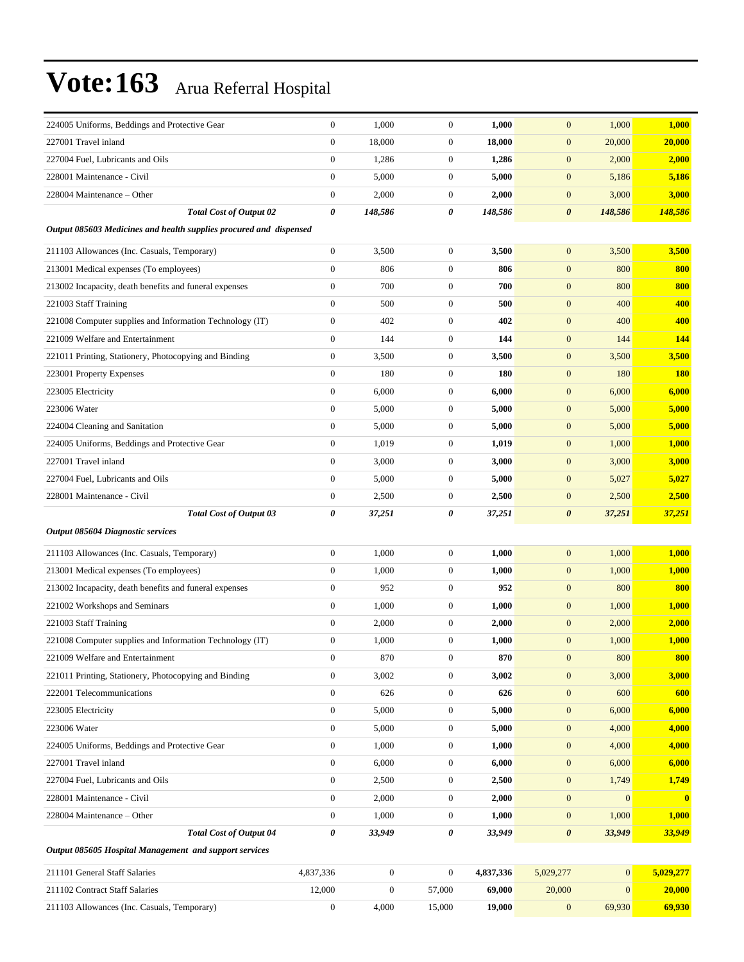| 224005 Uniforms, Beddings and Protective Gear                      | $\boldsymbol{0}$ | 1,000            | $\boldsymbol{0}$ | 1,000     | $\mathbf{0}$          | 1,000        | 1,000      |
|--------------------------------------------------------------------|------------------|------------------|------------------|-----------|-----------------------|--------------|------------|
| 227001 Travel inland                                               | $\boldsymbol{0}$ | 18,000           | $\boldsymbol{0}$ | 18,000    | $\boldsymbol{0}$      | 20,000       | 20,000     |
| 227004 Fuel, Lubricants and Oils                                   | $\mathbf{0}$     | 1,286            | $\boldsymbol{0}$ | 1,286     | $\mathbf{0}$          | 2,000        | 2,000      |
| 228001 Maintenance - Civil                                         | $\boldsymbol{0}$ | 5,000            | $\boldsymbol{0}$ | 5,000     | $\mathbf{0}$          | 5,186        | 5,186      |
| 228004 Maintenance – Other                                         | $\boldsymbol{0}$ | 2,000            | $\boldsymbol{0}$ | 2,000     | $\mathbf{0}$          | 3,000        | 3,000      |
| <b>Total Cost of Output 02</b>                                     | 0                | 148,586          | 0                | 148,586   | $\boldsymbol{\theta}$ | 148,586      | 148,586    |
| Output 085603 Medicines and health supplies procured and dispensed |                  |                  |                  |           |                       |              |            |
| 211103 Allowances (Inc. Casuals, Temporary)                        | $\boldsymbol{0}$ | 3,500            | $\boldsymbol{0}$ | 3,500     | $\mathbf{0}$          | 3,500        | 3,500      |
| 213001 Medical expenses (To employees)                             | $\boldsymbol{0}$ | 806              | $\boldsymbol{0}$ | 806       | $\mathbf{0}$          | 800          | 800        |
| 213002 Incapacity, death benefits and funeral expenses             | $\boldsymbol{0}$ | 700              | $\boldsymbol{0}$ | 700       | $\mathbf{0}$          | 800          | 800        |
| 221003 Staff Training                                              | $\mathbf{0}$     | 500              | $\boldsymbol{0}$ | 500       | $\mathbf{0}$          | 400          | 400        |
| 221008 Computer supplies and Information Technology (IT)           | $\boldsymbol{0}$ | 402              | $\mathbf{0}$     | 402       | $\mathbf{0}$          | 400          | 400        |
| 221009 Welfare and Entertainment                                   | $\overline{0}$   | 144              | $\boldsymbol{0}$ | 144       | $\mathbf{0}$          | 144          | <b>144</b> |
| 221011 Printing, Stationery, Photocopying and Binding              | $\boldsymbol{0}$ | 3,500            | $\boldsymbol{0}$ | 3,500     | $\mathbf{0}$          | 3,500        | 3,500      |
| 223001 Property Expenses                                           | $\boldsymbol{0}$ | 180              | $\boldsymbol{0}$ | 180       | $\mathbf{0}$          | 180          | <b>180</b> |
| 223005 Electricity                                                 | $\boldsymbol{0}$ | 6,000            | $\boldsymbol{0}$ | 6,000     | $\mathbf{0}$          | 6,000        | 6,000      |
| 223006 Water                                                       | $\boldsymbol{0}$ | 5,000            | $\boldsymbol{0}$ | 5,000     | $\mathbf{0}$          | 5,000        | 5,000      |
| 224004 Cleaning and Sanitation                                     | $\overline{0}$   | 5,000            | $\boldsymbol{0}$ | 5,000     | $\mathbf{0}$          | 5,000        | 5,000      |
| 224005 Uniforms, Beddings and Protective Gear                      | $\boldsymbol{0}$ | 1,019            | $\boldsymbol{0}$ | 1,019     | $\mathbf{0}$          | 1,000        | 1,000      |
| 227001 Travel inland                                               | $\boldsymbol{0}$ | 3,000            | $\boldsymbol{0}$ | 3,000     | $\mathbf{0}$          | 3,000        | 3,000      |
| 227004 Fuel, Lubricants and Oils                                   | $\mathbf{0}$     | 5,000            | $\boldsymbol{0}$ | 5,000     | $\mathbf{0}$          | 5,027        | 5,027      |
| 228001 Maintenance - Civil                                         | $\mathbf{0}$     | 2,500            | $\mathbf{0}$     | 2,500     | $\mathbf{0}$          | 2,500        | 2,500      |
| <b>Total Cost of Output 03</b>                                     | 0                | 37,251           | $\pmb{\theta}$   | 37,251    | $\boldsymbol{\theta}$ | 37,251       | 37,251     |
| Output 085604 Diagnostic services                                  |                  |                  |                  |           |                       |              |            |
| 211103 Allowances (Inc. Casuals, Temporary)                        | $\boldsymbol{0}$ | 1,000            | $\boldsymbol{0}$ | 1,000     | $\mathbf{0}$          | 1,000        | 1,000      |
| 213001 Medical expenses (To employees)                             | $\boldsymbol{0}$ | 1,000            | $\boldsymbol{0}$ | 1,000     | $\mathbf{0}$          | 1,000        | 1,000      |
| 213002 Incapacity, death benefits and funeral expenses             | $\boldsymbol{0}$ | 952              | $\boldsymbol{0}$ | 952       | $\mathbf{0}$          | 800          | 800        |
| 221002 Workshops and Seminars                                      | $\boldsymbol{0}$ | 1,000            | $\boldsymbol{0}$ | 1,000     | $\mathbf{0}$          | 1,000        | 1,000      |
| 221003 Staff Training                                              | $\boldsymbol{0}$ | 2,000            | $\boldsymbol{0}$ | 2,000     | $\mathbf{0}$          | 2,000        | 2,000      |
| 221008 Computer supplies and Information Technology (IT)           | $\boldsymbol{0}$ | 1,000            | $\boldsymbol{0}$ | 1,000     | $\mathbf{0}$          | 1,000        | 1,000      |
| 221009 Welfare and Entertainment                                   | $\boldsymbol{0}$ | 870              | $\boldsymbol{0}$ | 870       | $\mathbf{0}$          | 800          | 800        |
| 221011 Printing, Stationery, Photocopying and Binding              | $\boldsymbol{0}$ | 3,002            | $\boldsymbol{0}$ | 3,002     | $\mathbf{0}$          | 3,000        | 3,000      |
| 222001 Telecommunications                                          | $\boldsymbol{0}$ | 626              | $\boldsymbol{0}$ | 626       | $\mathbf{0}$          | 600          | 600        |
| 223005 Electricity                                                 | $\boldsymbol{0}$ | 5,000            | $\boldsymbol{0}$ | 5,000     | $\boldsymbol{0}$      | 6,000        | 6,000      |
| 223006 Water                                                       | $\boldsymbol{0}$ | 5,000            | $\boldsymbol{0}$ | 5,000     | $\mathbf{0}$          | 4,000        | 4,000      |
| 224005 Uniforms, Beddings and Protective Gear                      | $\boldsymbol{0}$ | 1,000            | $\boldsymbol{0}$ | 1,000     | $\boldsymbol{0}$      | 4,000        | 4,000      |
| 227001 Travel inland                                               | $\boldsymbol{0}$ | 6,000            | $\boldsymbol{0}$ | 6,000     | $\mathbf{0}$          | 6,000        | 6,000      |
| 227004 Fuel, Lubricants and Oils                                   | $\boldsymbol{0}$ | 2,500            | $\boldsymbol{0}$ | 2,500     | $\mathbf{0}$          | 1,749        | 1,749      |
| 228001 Maintenance - Civil                                         | $\boldsymbol{0}$ | 2,000            | $\boldsymbol{0}$ | 2,000     | $\mathbf{0}$          | $\mathbf{0}$ | $\bf{0}$   |
| 228004 Maintenance – Other                                         | $\boldsymbol{0}$ | 1,000            | $\boldsymbol{0}$ | 1,000     | $\boldsymbol{0}$      | 1,000        | 1,000      |
| <b>Total Cost of Output 04</b>                                     | 0                | 33,949           | $\pmb{\theta}$   | 33,949    | $\boldsymbol{\theta}$ | 33,949       | 33,949     |
| Output 085605 Hospital Management and support services             |                  |                  |                  |           |                       |              |            |
| 211101 General Staff Salaries                                      | 4,837,336        | $\boldsymbol{0}$ | $\boldsymbol{0}$ | 4,837,336 | 5,029,277             | $\mathbf{0}$ | 5,029,277  |
| 211102 Contract Staff Salaries                                     | 12,000           | $\boldsymbol{0}$ | 57,000           | 69,000    | 20,000                | $\mathbf{0}$ | 20,000     |
| 211103 Allowances (Inc. Casuals, Temporary)                        | $\boldsymbol{0}$ | 4,000            | 15,000           | 19,000    | $\boldsymbol{0}$      | 69,930       | 69,930     |
|                                                                    |                  |                  |                  |           |                       |              |            |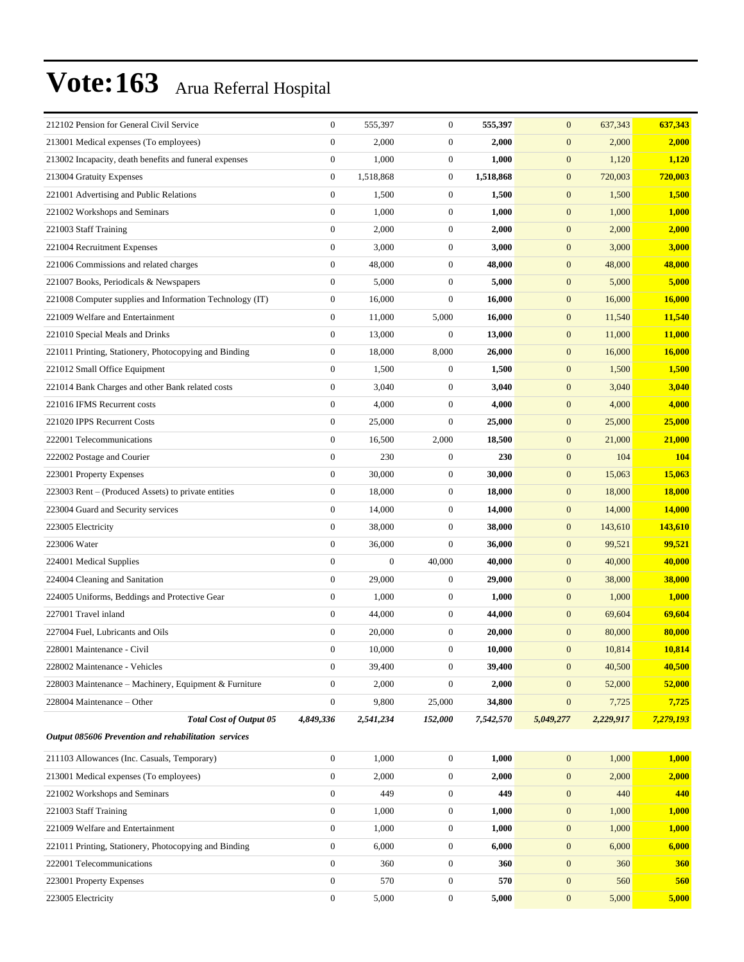| 212102 Pension for General Civil Service                 | $\boldsymbol{0}$ | 555,397        | $\mathbf{0}$     | 555,397   | $\mathbf{0}$     | 637,343   | 637,343    |
|----------------------------------------------------------|------------------|----------------|------------------|-----------|------------------|-----------|------------|
| 213001 Medical expenses (To employees)                   | $\boldsymbol{0}$ | 2,000          | $\boldsymbol{0}$ | 2,000     | $\boldsymbol{0}$ | 2,000     | 2,000      |
| 213002 Incapacity, death benefits and funeral expenses   | $\boldsymbol{0}$ | 1,000          | $\boldsymbol{0}$ | 1,000     | $\boldsymbol{0}$ | 1,120     | 1,120      |
| 213004 Gratuity Expenses                                 | $\boldsymbol{0}$ | 1,518,868      | $\boldsymbol{0}$ | 1,518,868 | $\boldsymbol{0}$ | 720,003   | 720,003    |
| 221001 Advertising and Public Relations                  | $\boldsymbol{0}$ | 1,500          | $\boldsymbol{0}$ | 1,500     | $\boldsymbol{0}$ | 1,500     | 1,500      |
| 221002 Workshops and Seminars                            | $\boldsymbol{0}$ | 1,000          | $\boldsymbol{0}$ | 1,000     | $\mathbf{0}$     | 1,000     | 1,000      |
| 221003 Staff Training                                    | $\boldsymbol{0}$ | 2,000          | $\boldsymbol{0}$ | 2,000     | $\boldsymbol{0}$ | 2,000     | 2,000      |
| 221004 Recruitment Expenses                              | $\boldsymbol{0}$ | 3,000          | $\boldsymbol{0}$ | 3,000     | $\boldsymbol{0}$ | 3,000     | 3,000      |
| 221006 Commissions and related charges                   | $\boldsymbol{0}$ | 48,000         | $\boldsymbol{0}$ | 48,000    | $\boldsymbol{0}$ | 48,000    | 48,000     |
| 221007 Books, Periodicals & Newspapers                   | $\boldsymbol{0}$ | 5,000          | $\boldsymbol{0}$ | 5,000     | $\boldsymbol{0}$ | 5,000     | 5,000      |
| 221008 Computer supplies and Information Technology (IT) | $\boldsymbol{0}$ | 16,000         | $\boldsymbol{0}$ | 16,000    | $\mathbf{0}$     | 16,000    | 16,000     |
| 221009 Welfare and Entertainment                         | $\boldsymbol{0}$ | 11,000         | 5,000            | 16,000    | $\boldsymbol{0}$ | 11,540    | 11,540     |
| 221010 Special Meals and Drinks                          | $\boldsymbol{0}$ | 13,000         | $\boldsymbol{0}$ | 13,000    | $\boldsymbol{0}$ | 11,000    | 11,000     |
| 221011 Printing, Stationery, Photocopying and Binding    | $\boldsymbol{0}$ | 18,000         | 8,000            | 26,000    | $\boldsymbol{0}$ | 16,000    | 16,000     |
| 221012 Small Office Equipment                            | $\boldsymbol{0}$ | 1,500          | $\boldsymbol{0}$ | 1,500     | $\boldsymbol{0}$ | 1,500     | 1,500      |
| 221014 Bank Charges and other Bank related costs         | $\boldsymbol{0}$ | 3,040          | $\boldsymbol{0}$ | 3,040     | $\mathbf{0}$     | 3,040     | 3,040      |
| 221016 IFMS Recurrent costs                              | $\boldsymbol{0}$ | 4,000          | $\boldsymbol{0}$ | 4,000     | $\boldsymbol{0}$ | 4,000     | 4,000      |
| 221020 IPPS Recurrent Costs                              | $\boldsymbol{0}$ | 25,000         | $\boldsymbol{0}$ | 25,000    | $\boldsymbol{0}$ | 25,000    | 25,000     |
| 222001 Telecommunications                                | $\boldsymbol{0}$ | 16,500         | 2,000            | 18,500    | $\boldsymbol{0}$ | 21,000    | 21,000     |
| 222002 Postage and Courier                               | $\boldsymbol{0}$ | 230            | $\boldsymbol{0}$ | 230       | $\mathbf{0}$     | 104       | 104        |
| 223001 Property Expenses                                 | $\boldsymbol{0}$ | 30,000         | $\boldsymbol{0}$ | 30,000    | $\boldsymbol{0}$ | 15,063    | 15,063     |
| 223003 Rent – (Produced Assets) to private entities      | $\boldsymbol{0}$ | 18,000         | $\boldsymbol{0}$ | 18,000    | $\boldsymbol{0}$ | 18,000    | 18,000     |
| 223004 Guard and Security services                       | $\boldsymbol{0}$ | 14,000         | $\boldsymbol{0}$ | 14,000    | $\boldsymbol{0}$ | 14,000    | 14,000     |
| 223005 Electricity                                       | $\boldsymbol{0}$ | 38,000         | $\boldsymbol{0}$ | 38,000    | $\boldsymbol{0}$ | 143,610   | 143,610    |
| 223006 Water                                             | $\boldsymbol{0}$ | 36,000         | $\boldsymbol{0}$ | 36,000    | $\boldsymbol{0}$ | 99,521    | 99,521     |
| 224001 Medical Supplies                                  | $\boldsymbol{0}$ | $\overline{0}$ | 40,000           | 40,000    | $\boldsymbol{0}$ | 40,000    | 40,000     |
| 224004 Cleaning and Sanitation                           | $\boldsymbol{0}$ | 29,000         | $\boldsymbol{0}$ | 29,000    | $\boldsymbol{0}$ | 38,000    | 38,000     |
| 224005 Uniforms, Beddings and Protective Gear            | $\boldsymbol{0}$ | 1,000          | $\boldsymbol{0}$ | 1,000     | $\boldsymbol{0}$ | 1,000     | 1,000      |
| 227001 Travel inland                                     | $\boldsymbol{0}$ | 44,000         | $\boldsymbol{0}$ | 44,000    | $\boldsymbol{0}$ | 69,604    | 69,604     |
| 227004 Fuel, Lubricants and Oils                         | $\boldsymbol{0}$ | 20,000         | $\boldsymbol{0}$ | 20,000    | $\boldsymbol{0}$ | 80,000    | 80,000     |
| 228001 Maintenance - Civil                               | $\boldsymbol{0}$ | 10,000         | $\boldsymbol{0}$ | 10,000    | $\boldsymbol{0}$ | 10,814    | 10,814     |
| 228002 Maintenance - Vehicles                            | $\boldsymbol{0}$ | 39,400         | $\boldsymbol{0}$ | 39,400    | $\boldsymbol{0}$ | 40,500    | 40,500     |
| 228003 Maintenance - Machinery, Equipment & Furniture    | $\boldsymbol{0}$ | 2,000          | $\boldsymbol{0}$ | 2,000     | $\boldsymbol{0}$ | 52,000    | 52,000     |
| 228004 Maintenance – Other                               | $\boldsymbol{0}$ | 9,800          | 25,000           | 34,800    | $\boldsymbol{0}$ | 7,725     | 7,725      |
| <b>Total Cost of Output 05</b>                           | 4,849,336        | 2,541,234      | 152,000          | 7,542,570 | 5,049,277        | 2,229,917 | 7,279,193  |
| Output 085606 Prevention and rehabilitation services     |                  |                |                  |           |                  |           |            |
| 211103 Allowances (Inc. Casuals, Temporary)              | $\boldsymbol{0}$ | 1,000          | $\boldsymbol{0}$ | 1,000     | $\boldsymbol{0}$ | 1,000     | 1,000      |
| 213001 Medical expenses (To employees)                   | $\boldsymbol{0}$ | 2,000          | $\boldsymbol{0}$ | 2,000     | $\boldsymbol{0}$ | 2,000     | 2,000      |
| 221002 Workshops and Seminars                            | $\boldsymbol{0}$ | 449            | $\boldsymbol{0}$ | 449       | $\boldsymbol{0}$ | 440       | 440        |
| 221003 Staff Training                                    | $\boldsymbol{0}$ | 1,000          | $\boldsymbol{0}$ | 1,000     | $\mathbf{0}$     | 1,000     | 1,000      |
| 221009 Welfare and Entertainment                         | $\boldsymbol{0}$ | 1,000          | $\boldsymbol{0}$ | 1,000     | $\boldsymbol{0}$ | 1,000     | 1,000      |
| 221011 Printing, Stationery, Photocopying and Binding    | $\boldsymbol{0}$ | 6,000          | $\boldsymbol{0}$ | 6,000     | $\boldsymbol{0}$ | 6,000     | 6,000      |
| 222001 Telecommunications                                | $\boldsymbol{0}$ | 360            | $\boldsymbol{0}$ | 360       | $\boldsymbol{0}$ | 360       | <b>360</b> |
| 223001 Property Expenses                                 | $\boldsymbol{0}$ | 570            | $\boldsymbol{0}$ | 570       | $\boldsymbol{0}$ | 560       | 560        |
| 223005 Electricity                                       | $\mathbf{0}$     | 5,000          | $\mathbf{0}$     | 5,000     | $\mathbf{0}$     | 5,000     | 5,000      |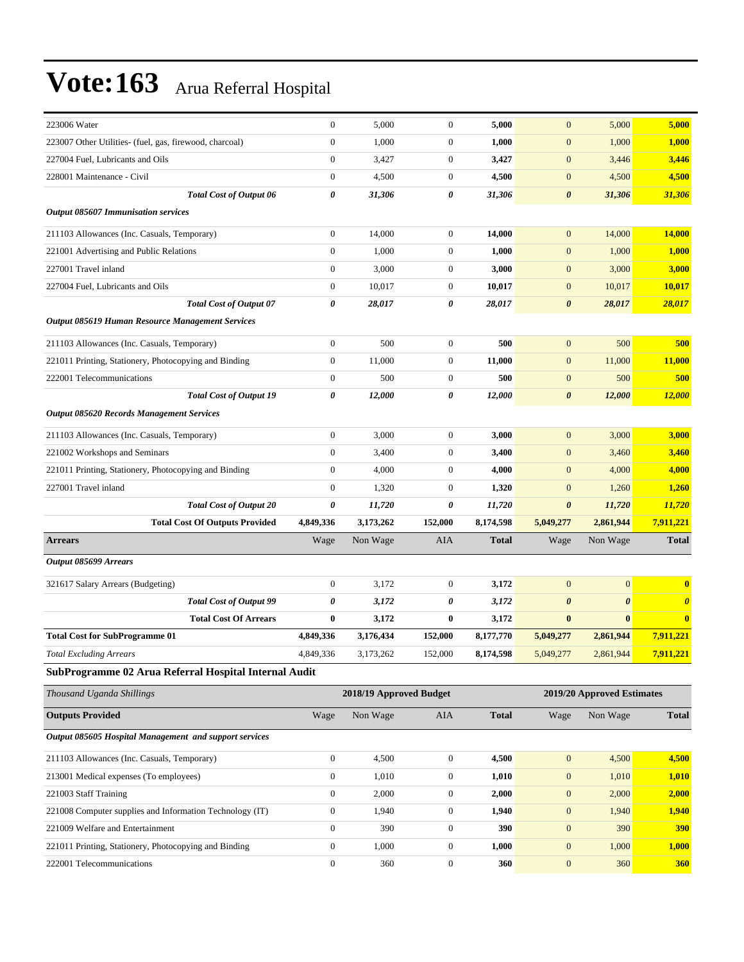| 223006 Water                                             | $\boldsymbol{0}$ | 5,000                   | $\boldsymbol{0}$ | 5,000        | $\boldsymbol{0}$      | 5,000                      | 5,000                 |
|----------------------------------------------------------|------------------|-------------------------|------------------|--------------|-----------------------|----------------------------|-----------------------|
| 223007 Other Utilities- (fuel, gas, firewood, charcoal)  | $\boldsymbol{0}$ | 1,000                   | $\mathbf{0}$     | 1,000        | $\boldsymbol{0}$      | 1,000                      | 1,000                 |
| 227004 Fuel, Lubricants and Oils                         | $\boldsymbol{0}$ | 3,427                   | $\mathbf{0}$     | 3,427        | $\mathbf{0}$          | 3,446                      | 3,446                 |
| 228001 Maintenance - Civil                               | $\boldsymbol{0}$ | 4,500                   | $\mathbf{0}$     | 4,500        | $\mathbf{0}$          | 4,500                      | 4,500                 |
| <b>Total Cost of Output 06</b>                           | 0                | 31,306                  | 0                | 31,306       | 0                     | 31,306                     | 31,306                |
| <b>Output 085607 Immunisation services</b>               |                  |                         |                  |              |                       |                            |                       |
| 211103 Allowances (Inc. Casuals, Temporary)              | $\boldsymbol{0}$ | 14,000                  | $\mathbf{0}$     | 14,000       | $\boldsymbol{0}$      | 14,000                     | 14,000                |
| 221001 Advertising and Public Relations                  | $\boldsymbol{0}$ | 1,000                   | $\boldsymbol{0}$ | 1,000        | $\boldsymbol{0}$      | 1,000                      | 1,000                 |
| 227001 Travel inland                                     | $\boldsymbol{0}$ | 3,000                   | $\boldsymbol{0}$ | 3,000        | $\mathbf{0}$          | 3,000                      | 3,000                 |
| 227004 Fuel, Lubricants and Oils                         | $\boldsymbol{0}$ | 10,017                  | $\boldsymbol{0}$ | 10,017       | $\boldsymbol{0}$      | 10,017                     | 10,017                |
| <b>Total Cost of Output 07</b>                           | 0                | 28,017                  | 0                | 28,017       | $\boldsymbol{\theta}$ | 28,017                     | 28,017                |
| <b>Output 085619 Human Resource Management Services</b>  |                  |                         |                  |              |                       |                            |                       |
| 211103 Allowances (Inc. Casuals, Temporary)              | $\boldsymbol{0}$ | 500                     | $\boldsymbol{0}$ | 500          | $\mathbf{0}$          | 500                        | 500                   |
| 221011 Printing, Stationery, Photocopying and Binding    | $\boldsymbol{0}$ | 11,000                  | $\boldsymbol{0}$ | 11,000       | $\boldsymbol{0}$      | 11,000                     | 11,000                |
| 222001 Telecommunications                                | $\boldsymbol{0}$ | 500                     | $\mathbf{0}$     | 500          | $\mathbf{0}$          | 500                        | 500                   |
| <b>Total Cost of Output 19</b>                           | 0                | 12,000                  | 0                | 12,000       | $\boldsymbol{\theta}$ | 12,000                     | <u>12,000</u>         |
| <b>Output 085620 Records Management Services</b>         |                  |                         |                  |              |                       |                            |                       |
|                                                          |                  |                         |                  |              |                       |                            |                       |
| 211103 Allowances (Inc. Casuals, Temporary)              | $\boldsymbol{0}$ | 3,000                   | $\boldsymbol{0}$ | 3,000        | $\mathbf{0}$          | 3,000                      | 3,000                 |
| 221002 Workshops and Seminars                            | $\boldsymbol{0}$ | 3,400                   | $\boldsymbol{0}$ | 3,400        | $\mathbf{0}$          | 3,460                      | 3,460                 |
| 221011 Printing, Stationery, Photocopying and Binding    | $\boldsymbol{0}$ | 4,000                   | $\mathbf{0}$     | 4,000        | $\boldsymbol{0}$      | 4,000                      | 4,000                 |
| 227001 Travel inland                                     | $\boldsymbol{0}$ | 1,320                   | $\boldsymbol{0}$ | 1,320        | $\overline{0}$        | 1,260                      | 1,260                 |
| <b>Total Cost of Output 20</b>                           | 0                | 11,720                  | 0                | 11,720       | $\pmb{\theta}$        | 11,720                     | 11,720                |
| <b>Total Cost Of Outputs Provided</b>                    | 4,849,336        | 3,173,262               | 152,000          | 8,174,598    | 5,049,277             | 2,861,944                  | 7,911,221             |
| <b>Arrears</b>                                           | Wage             | Non Wage                | AIA              | <b>Total</b> | Wage                  | Non Wage                   | <b>Total</b>          |
| Output 085699 Arrears                                    |                  |                         |                  |              |                       |                            |                       |
| 321617 Salary Arrears (Budgeting)                        | $\boldsymbol{0}$ | 3,172                   | $\mathbf{0}$     | 3,172        | $\mathbf{0}$          | $\overline{0}$             | $\bf{0}$              |
| <b>Total Cost of Output 99</b>                           | 0                | 3,172                   | 0                | 3,172        | $\boldsymbol{\theta}$ | $\boldsymbol{\theta}$      | $\boldsymbol{\theta}$ |
| <b>Total Cost Of Arrears</b>                             | $\bf{0}$         | 3,172                   | $\bf{0}$         | 3,172        | $\bf{0}$              | $\bf{0}$                   | $\bf{0}$              |
| <b>Total Cost for SubProgramme 01</b>                    | 4,849,336        | 3,176,434               | 152,000          | 8,177,770    | 5,049,277             | 2,861,944                  | 7,911,221             |
| Total Excluding Arrears                                  | 4,849,336        | 3,173,262               | 152,000          | 8,174,598    | 5,049,277             | 2,861,944                  | 7,911,221             |
| SubProgramme 02 Arua Referral Hospital Internal Audit    |                  |                         |                  |              |                       |                            |                       |
| Thousand Uganda Shillings                                |                  | 2018/19 Approved Budget |                  |              |                       | 2019/20 Approved Estimates |                       |
| <b>Outputs Provided</b>                                  | Wage             | Non Wage                | AIA              | <b>Total</b> | Wage                  | Non Wage                   | <b>Total</b>          |
| Output 085605 Hospital Management and support services   |                  |                         |                  |              |                       |                            |                       |
|                                                          |                  |                         |                  |              |                       |                            |                       |
| 211103 Allowances (Inc. Casuals, Temporary)              | $\boldsymbol{0}$ | 4,500                   | $\boldsymbol{0}$ | 4,500        | $\mathbf{0}$          | 4,500                      | 4,500                 |
| 213001 Medical expenses (To employees)                   | $\boldsymbol{0}$ | 1,010                   | $\boldsymbol{0}$ | 1,010        | $\mathbf{0}$          | 1,010                      | <b>1,010</b>          |
| 221003 Staff Training                                    | $\boldsymbol{0}$ | 2,000                   | $\boldsymbol{0}$ | 2,000        | $\boldsymbol{0}$      | 2,000                      | 2,000                 |
| 221008 Computer supplies and Information Technology (IT) | $\boldsymbol{0}$ | 1,940                   | $\boldsymbol{0}$ | 1,940        | $\boldsymbol{0}$      | 1,940                      | 1,940                 |
| 221009 Welfare and Entertainment                         | $\boldsymbol{0}$ | 390                     | $\boldsymbol{0}$ | 390          | $\mathbf{0}$          | 390                        | <b>390</b>            |
| 221011 Printing, Stationery, Photocopying and Binding    | $\boldsymbol{0}$ | 1,000                   | $\boldsymbol{0}$ | 1,000        | $\boldsymbol{0}$      | 1,000                      | <b>1,000</b>          |
| 222001 Telecommunications                                | $\boldsymbol{0}$ | 360                     | $\overline{0}$   | 360          | $\boldsymbol{0}$      | 360                        | <b>360</b>            |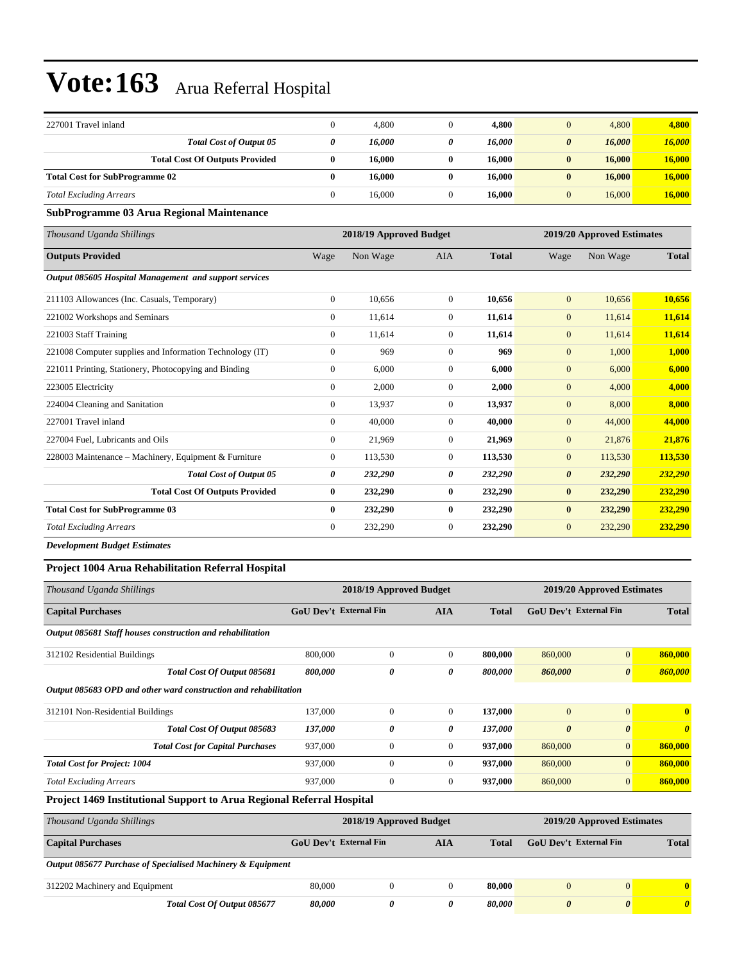| 227001 Travel inland                                     | $\boldsymbol{0}$      | 4,800                   | $\overline{0}$   | 4,800        | $\mathbf{0}$          | 4,800                      | 4,800              |  |
|----------------------------------------------------------|-----------------------|-------------------------|------------------|--------------|-----------------------|----------------------------|--------------------|--|
|                                                          |                       |                         |                  |              |                       |                            |                    |  |
| <b>Total Cost of Output 05</b>                           | $\boldsymbol{\theta}$ | 16,000                  | 0                | 16,000       | $\boldsymbol{\theta}$ | 16,000                     | 16,000             |  |
| <b>Total Cost Of Outputs Provided</b>                    | $\bf{0}$              | 16,000                  | $\bf{0}$         | 16,000       | $\bf{0}$              | 16,000                     | 16,000             |  |
| <b>Total Cost for SubProgramme 02</b>                    | $\bf{0}$              | 16,000                  | $\bf{0}$         | 16,000       | $\bf{0}$              | 16,000                     | 16,000             |  |
| <b>Total Excluding Arrears</b>                           | $\mathbf{0}$          | 16,000                  | $\boldsymbol{0}$ | 16,000       | $\mathbf{0}$          | 16,000                     | 16,000             |  |
| <b>SubProgramme 03 Arua Regional Maintenance</b>         |                       |                         |                  |              |                       |                            |                    |  |
| Thousand Uganda Shillings                                |                       | 2018/19 Approved Budget |                  |              |                       | 2019/20 Approved Estimates |                    |  |
| <b>Outputs Provided</b>                                  | Wage                  | Non Wage                | <b>AIA</b>       | <b>Total</b> | Wage                  | Non Wage                   | <b>Total</b>       |  |
| Output 085605 Hospital Management and support services   |                       |                         |                  |              |                       |                            |                    |  |
| 211103 Allowances (Inc. Casuals, Temporary)              | $\mathbf{0}$          | 10.656                  | $\overline{0}$   | 10.656       | $\overline{0}$        | 10,656                     | 10,656             |  |
| 221002 Workshops and Seminars                            | $\theta$              | 11,614                  | $\overline{0}$   | 11,614       | $\overline{0}$        | 11,614                     | 11,614             |  |
| 221003 Staff Training                                    | $\mathbf{0}$          | 11,614                  | $\overline{0}$   | 11,614       | $\mathbf{0}$          | 11,614                     | 11,614             |  |
| 221008 Computer supplies and Information Technology (IT) | $\mathbf{0}$          | 969                     | $\overline{0}$   | 969          | $\mathbf{0}$          | 1,000                      | $\overline{1,000}$ |  |
| 221011 Printing, Stationery, Photocopying and Binding    | $\mathbf{0}$          | 6,000                   | $\overline{0}$   | 6,000        | $\mathbf{0}$          | 6,000                      | 6,000              |  |
| 223005 Electricity                                       | $\theta$              | 2,000                   | $\overline{0}$   | 2,000        | $\mathbf{0}$          | 4,000                      | 4,000              |  |
| 224004 Cleaning and Sanitation                           | $\mathbf{0}$          | 13,937                  | $\overline{0}$   | 13,937       | $\mathbf{0}$          | 8,000                      | 8,000              |  |
| 227001 Travel inland                                     | $\mathbf{0}$          | 40,000                  | $\overline{0}$   | 40,000       | $\mathbf{0}$          | 44,000                     | 44,000             |  |
| 227004 Fuel, Lubricants and Oils                         | $\mathbf{0}$          | 21,969                  | $\overline{0}$   | 21,969       | $\overline{0}$        | 21,876                     | 21,876             |  |
| 228003 Maintenance - Machinery, Equipment & Furniture    | $\mathbf{0}$          | 113,530                 | $\overline{0}$   | 113,530      | $\mathbf{0}$          | 113,530                    | 113,530            |  |
| <b>Total Cost of Output 05</b>                           | 0                     | 232,290                 | 0                | 232,290      | $\boldsymbol{\theta}$ | 232,290                    | 232,290            |  |
| <b>Total Cost Of Outputs Provided</b>                    | $\bf{0}$              | 232,290                 | $\bf{0}$         | 232,290      | $\bf{0}$              | 232,290                    | 232,290            |  |
| <b>Total Cost for SubProgramme 03</b>                    | $\mathbf{0}$          | 232,290                 | $\bf{0}$         | 232,290      | $\bf{0}$              | 232,290                    | 232,290            |  |
| <b>Total Excluding Arrears</b>                           | $\mathbf{0}$          | 232,290                 | $\overline{0}$   | 232,290      | $\mathbf{0}$          | 232,290                    | 232,290            |  |
|                                                          |                       |                         |                  |              |                       |                            |                    |  |

*Development Budget Estimates*

#### **Project 1004 Arua Rehabilitation Referral Hospital**

| Thousand Uganda Shillings                                        | 2018/19 Approved Budget<br>2019/20 Approved Estimates                                        |              |              |              |                       |                       |              |
|------------------------------------------------------------------|----------------------------------------------------------------------------------------------|--------------|--------------|--------------|-----------------------|-----------------------|--------------|
| <b>Capital Purchases</b>                                         | <b>GoU Dev't External Fin</b><br><b>GoU</b> Dev't External Fin<br><b>AIA</b><br><b>Total</b> |              |              | <b>Total</b> |                       |                       |              |
| Output 085681 Staff houses construction and rehabilitation       |                                                                                              |              |              |              |                       |                       |              |
| 312102 Residential Buildings                                     | 800,000                                                                                      | $\mathbf{0}$ | $\Omega$     | 800,000      | 860,000               | $\overline{0}$        | 860,000      |
| Total Cost Of Output 085681                                      | 800,000                                                                                      | 0            | 0            | 800,000      | 860,000               | $\boldsymbol{\theta}$ | 860,000      |
| Output 085683 OPD and other ward construction and rehabilitation |                                                                                              |              |              |              |                       |                       |              |
| 312101 Non-Residential Buildings                                 | 137,000                                                                                      | $\mathbf{0}$ | $\mathbf{0}$ | 137,000      | $\mathbf{0}$          | $\overline{0}$        | $\mathbf{0}$ |
| Total Cost Of Output 085683                                      | 137,000                                                                                      | 0            | 0            | 137,000      | $\boldsymbol{\theta}$ | $\boldsymbol{\theta}$ | $\theta$     |
| <b>Total Cost for Capital Purchases</b>                          | 937,000                                                                                      | $\mathbf{0}$ | $\mathbf{0}$ | 937,000      | 860,000               | $\mathbf{0}$          | 860,000      |
| <b>Total Cost for Project: 1004</b>                              | 937,000                                                                                      | $\mathbf{0}$ | $\mathbf{0}$ | 937,000      | 860,000               | $\overline{0}$        | 860,000      |
| <b>Total Excluding Arrears</b>                                   | 937,000                                                                                      | $\mathbf{0}$ | $\mathbf{0}$ | 937,000      | 860,000               | $\overline{0}$        | 860,000      |

#### **Project 1469 Institutional Support to Arua Regional Referral Hospital**

| Thousand Uganda Shillings                                   |                               | 2018/19 Approved Budget | 2019/20 Approved Estimates |        |                               |                       |              |
|-------------------------------------------------------------|-------------------------------|-------------------------|----------------------------|--------|-------------------------------|-----------------------|--------------|
| <b>Capital Purchases</b>                                    | <b>GoU</b> Dev't External Fin |                         | AIA                        | Total  | <b>GoU</b> Dev't External Fin |                       | <b>Total</b> |
| Output 085677 Purchase of Specialised Machinery & Equipment |                               |                         |                            |        |                               |                       |              |
| 312202 Machinery and Equipment                              | 80,000                        |                         |                            | 80,000 |                               | 0                     |              |
| <b>Total Cost Of Output 085677</b>                          | 80.000                        | 0                       | 0                          | 80.000 | 0                             | $\boldsymbol{\theta}$ | 0            |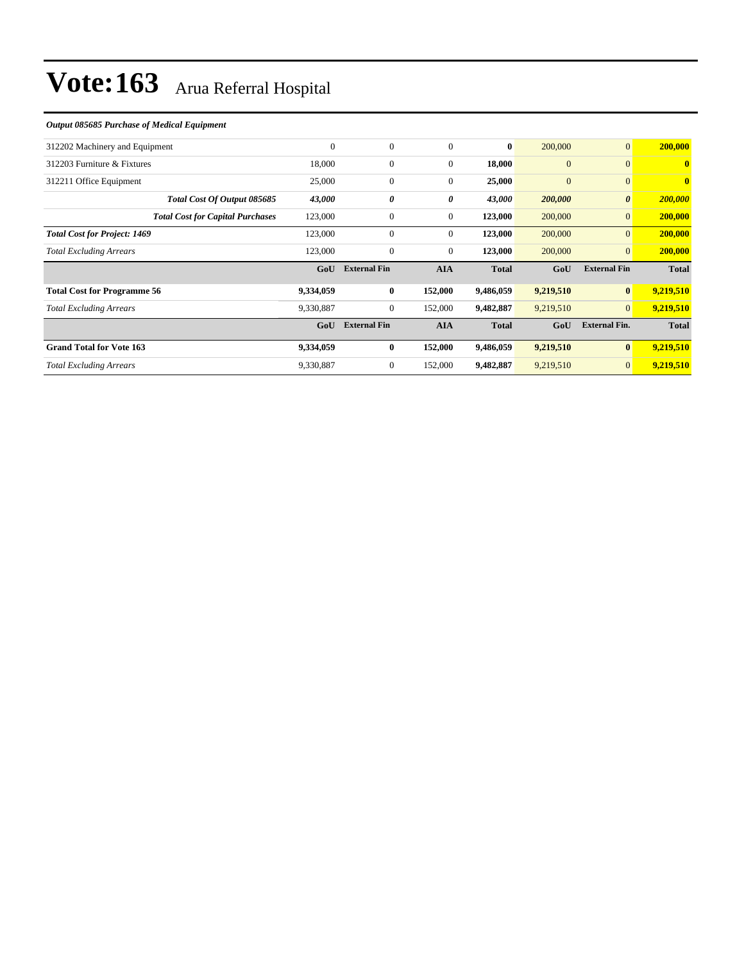#### *Output 085685 Purchase of Medical Equipment*

| 312202 Machinery and Equipment          | $\mathbf{0}$ | $\mathbf{0}$        | $\mathbf{0}$ | $\bf{0}$     | 200,000        | $\mathbf{0}$          | 200,000      |
|-----------------------------------------|--------------|---------------------|--------------|--------------|----------------|-----------------------|--------------|
| 312203 Furniture & Fixtures             | 18,000       | $\overline{0}$      | $\mathbf{0}$ | 18,000       | $\overline{0}$ | $\overline{0}$        | $\mathbf{0}$ |
| 312211 Office Equipment                 | 25,000       | $\mathbf{0}$        | $\mathbf{0}$ | 25,000       | $\mathbf{0}$   | $\mathbf{0}$          | $\mathbf{0}$ |
| Total Cost Of Output 085685             | 43,000       | 0                   | 0            | 43,000       | 200,000        | $\boldsymbol{\theta}$ | 200,000      |
| <b>Total Cost for Capital Purchases</b> | 123,000      | 0                   | $\mathbf{0}$ | 123,000      | 200,000        | $\mathbf{0}$          | 200,000      |
| <b>Total Cost for Project: 1469</b>     | 123,000      | $\mathbf{0}$        | $\Omega$     | 123,000      | 200,000        | $\overline{0}$        | 200,000      |
| <b>Total Excluding Arrears</b>          | 123,000      | $\overline{0}$      | $\mathbf{0}$ | 123,000      | 200,000        | $\overline{0}$        | 200,000      |
|                                         | GoU          | <b>External Fin</b> | <b>AIA</b>   | <b>Total</b> | GoU            | <b>External Fin</b>   | <b>Total</b> |
| <b>Total Cost for Programme 56</b>      | 9,334,059    | $\bf{0}$            | 152,000      | 9,486,059    | 9,219,510      | $\bf{0}$              | 9,219,510    |
| <b>Total Excluding Arrears</b>          | 9,330,887    | $\boldsymbol{0}$    | 152,000      | 9,482,887    | 9,219,510      | $\overline{0}$        | 9,219,510    |
|                                         | GoU          | <b>External Fin</b> | <b>AIA</b>   | <b>Total</b> | GoU            | <b>External Fin.</b>  | <b>Total</b> |
| <b>Grand Total for Vote 163</b>         | 9,334,059    | $\bf{0}$            | 152,000      | 9,486,059    | 9,219,510      | $\bf{0}$              | 9,219,510    |
| <b>Total Excluding Arrears</b>          | 9,330,887    | 0                   | 152,000      | 9,482,887    | 9,219,510      | $\mathbf{0}$          | 9,219,510    |
|                                         |              |                     |              |              |                |                       |              |